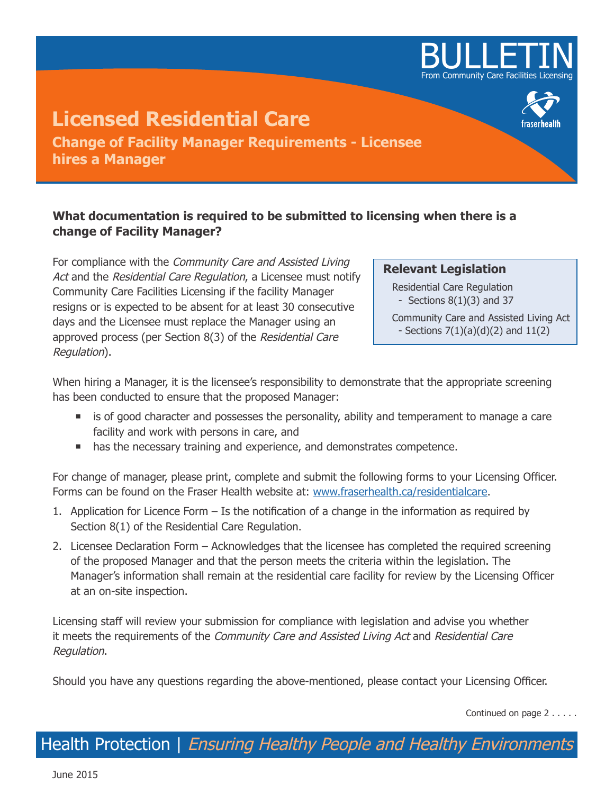

## **Licensed Residential Care Change of Facility Manager Requirements - Licensee hires a Manager**

## **What documentation is required to be submitted to licensing when there is a change of Facility Manager?**

For compliance with the Community Care and Assisted Living Act and the Residential Care Regulation, a Licensee must notify Community Care Facilities Licensing if the facility Manager resigns or is expected to be absent for at least 30 consecutive days and the Licensee must replace the Manager using an approved process (per Section 8(3) of the Residential Care Regulation).

## **Relevant Legislation**

Residential Care Regulation - Sections  $8(1)(3)$  and 37

Community Care and Assisted Living Act - Sections  $7(1)(a)(d)(2)$  and  $11(2)$ 

When hiring a Manager, it is the licensee's responsibility to demonstrate that the appropriate screening has been conducted to ensure that the proposed Manager:

- **if** is of good character and possesses the personality, ability and temperament to manage a care facility and work with persons in care, and
- **has the necessary training and experience, and demonstrates competence.**

For change of manager, please print, complete and submit the following forms to your Licensing Officer. Forms can be found on the Fraser Health website at: www.fraserhealth.ca/residentialcare.

- 1. Application for Licence Form Is the notification of a change in the information as required by Section 8(1) of the Residential Care Regulation.
- 2. Licensee Declaration Form Acknowledges that the licensee has completed the required screening of the proposed Manager and that the person meets the criteria within the legislation. The Manager's information shall remain at the residential care facility for review by the Licensing Officer at an on-site inspection.

Licensing staff will review your submission for compliance with legislation and advise you whether it meets the requirements of the *Community Care and Assisted Living Act* and *Residential Care* Regulation.

Should you have any questions regarding the above-mentioned, please contact your Licensing Officer.

Continued on page 2 . . . . .

Health Protection | Ensuring Healthy People and Healthy Environments

June 2015